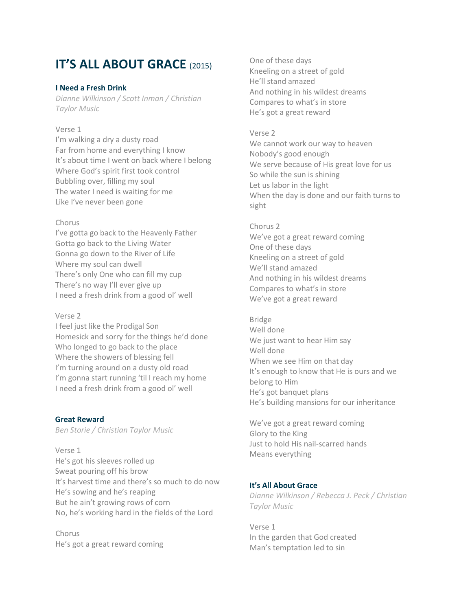# **IT'S ALL ABOUT GRACE** (2015)

### **I Need a Fresh Drink**

*Dianne Wilkinson / Scott Inman / Christian Taylor Music*

### Verse 1

I'm walking a dry a dusty road Far from home and everything I know It's about time I went on back where I belong Where God's spirit first took control Bubbling over, filling my soul The water I need is waiting for me Like I've never been gone

### Chorus

I've gotta go back to the Heavenly Father Gotta go back to the Living Water Gonna go down to the River of Life Where my soul can dwell There's only One who can fill my cup There's no way I'll ever give up I need a fresh drink from a good ol' well

# Verse 2

I feel just like the Prodigal Son Homesick and sorry for the things he'd done Who longed to go back to the place Where the showers of blessing fell I'm turning around on a dusty old road I'm gonna start running 'til I reach my home I need a fresh drink from a good ol' well

### **Great Reward**

*Ben Storie / Christian Taylor Music*

Verse 1 He's got his sleeves rolled up Sweat pouring off his brow It's harvest time and there's so much to do now He's sowing and he's reaping But he ain't growing rows of corn No, he's working hard in the fields of the Lord

Chorus He's got a great reward coming

One of these days Kneeling on a street of gold He'll stand amazed And nothing in his wildest dreams Compares to what's in store He's got a great reward

# Verse 2

We cannot work our way to heaven Nobody's good enough We serve because of His great love for us So while the sun is shining Let us labor in the light When the day is done and our faith turns to sight

# Chorus 2

We've got a great reward coming One of these days Kneeling on a street of gold We'll stand amazed And nothing in his wildest dreams Compares to what's in store We've got a great reward

# Bridge

Well done We just want to hear Him say Well done When we see Him on that day It's enough to know that He is ours and we belong to Him He's got banquet plans He's building mansions for our inheritance

We've got a great reward coming Glory to the King Just to hold His nail-scarred hands Means everything

# **It's All About Grace**

*Dianne Wilkinson / Rebecca J. Peck / Christian Taylor Music*

Verse 1 In the garden that God created Man's temptation led to sin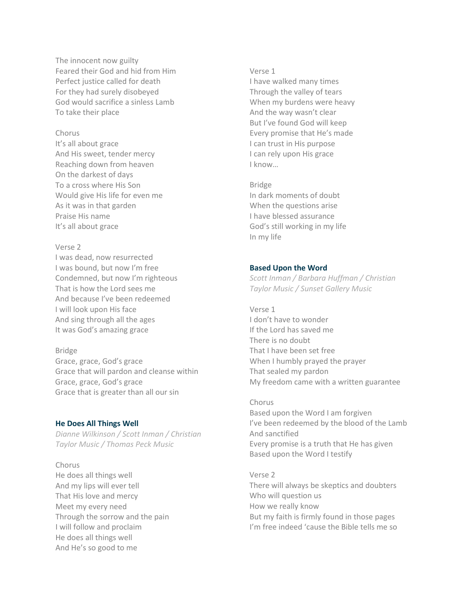The innocent now guilty Feared their God and hid from Him Perfect justice called for death For they had surely disobeyed God would sacrifice a sinless Lamb To take their place

### Chorus

It's all about grace And His sweet, tender mercy Reaching down from heaven On the darkest of days To a cross where His Son Would give His life for even me As it was in that garden Praise His name It's all about grace

# Verse 2

I was dead, now resurrected I was bound, but now I'm free Condemned, but now I'm righteous That is how the Lord sees me And because I've been redeemed I will look upon His face And sing through all the ages It was God's amazing grace

#### Bridge

Grace, grace, God's grace Grace that will pardon and cleanse within Grace, grace, God's grace Grace that is greater than all our sin

### **He Does All Things Well**

*Dianne Wilkinson / Scott Inman / Christian Taylor Music / Thomas Peck Music*

### Chorus

He does all things well And my lips will ever tell That His love and mercy Meet my every need Through the sorrow and the pain I will follow and proclaim He does all things well And He's so good to me

#### Verse 1

I have walked many times Through the valley of tears When my burdens were heavy And the way wasn't clear But I've found God will keep Every promise that He's made I can trust in His purpose I can rely upon His grace I know…

Bridge In dark moments of doubt When the questions arise I have blessed assurance God's still working in my life In my life

### **Based Upon the Word**

*Scott Inman / Barbara Huffman / Christian Taylor Music / Sunset Gallery Music*

Verse 1 I don't have to wonder If the Lord has saved me There is no doubt That I have been set free When I humbly prayed the prayer That sealed my pardon My freedom came with a written guarantee

Chorus Based upon the Word I am forgiven I've been redeemed by the blood of the Lamb And sanctified Every promise is a truth that He has given Based upon the Word I testify

Verse 2 There will always be skeptics and doubters Who will question us How we really know But my faith is firmly found in those pages I'm free indeed 'cause the Bible tells me so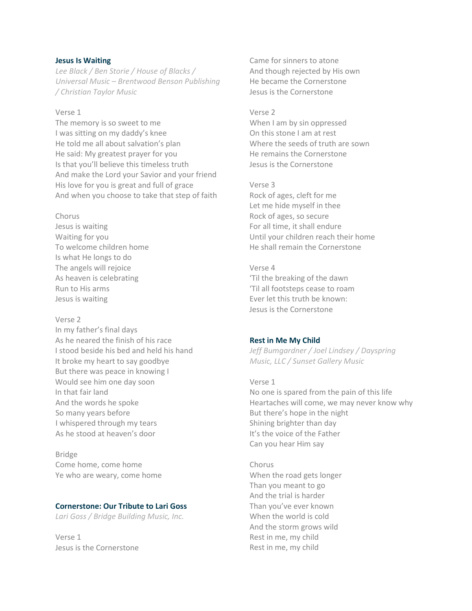### **Jesus Is Waiting**

*Lee Black / Ben Storie / House of Blacks / Universal Music – Brentwood Benson Publishing / Christian Taylor Music*

### Verse 1

The memory is so sweet to me I was sitting on my daddy's knee He told me all about salvation's plan He said: My greatest prayer for you Is that you'll believe this timeless truth And make the Lord your Savior and your friend His love for you is great and full of grace And when you choose to take that step of faith

#### Chorus

Jesus is waiting Waiting for you To welcome children home Is what He longs to do The angels will rejoice As heaven is celebrating Run to His arms Jesus is waiting

#### Verse 2

In my father's final days As he neared the finish of his race I stood beside his bed and held his hand It broke my heart to say goodbye But there was peace in knowing I Would see him one day soon In that fair land And the words he spoke So many years before I whispered through my tears As he stood at heaven's door

Bridge Come home, come home Ye who are weary, come home

# **Cornerstone: Our Tribute to Lari Goss**

*Lari Goss / Bridge Building Music, Inc.*

Verse 1 Jesus is the Cornerstone

Came for sinners to atone And though rejected by His own He became the Cornerstone Jesus is the Cornerstone

### Verse 2

When I am by sin oppressed On this stone I am at rest Where the seeds of truth are sown He remains the Cornerstone Jesus is the Cornerstone

#### Verse 3

Rock of ages, cleft for me Let me hide myself in thee Rock of ages, so secure For all time, it shall endure Until your children reach their home He shall remain the Cornerstone

# Verse 4 'Til the breaking of the dawn 'Til all footsteps cease to roam Ever let this truth be known: Jesus is the Cornerstone

### **Rest in Me My Child**

*Jeff Bumgardner / Joel Lindsey / Dayspring Music, LLC / Sunset Gallery Music*

#### Verse 1

No one is spared from the pain of this life Heartaches will come, we may never know why But there's hope in the night Shining brighter than day It's the voice of the Father Can you hear Him say

Chorus When the road gets longer Than you meant to go And the trial is harder Than you've ever known When the world is cold And the storm grows wild Rest in me, my child Rest in me, my child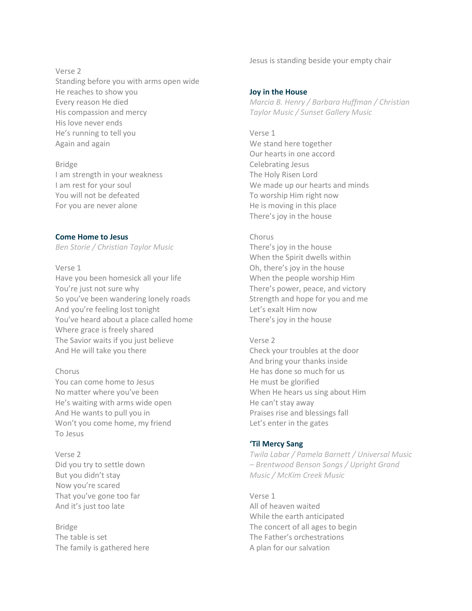Verse 2

Standing before you with arms open wide He reaches to show you Every reason He died His compassion and mercy His love never ends He's running to tell you Again and again

Bridge I am strength in your weakness I am rest for your soul You will not be defeated For you are never alone

**Come Home to Jesus**

*Ben Storie / Christian Taylor Music*

# Verse 1

Have you been homesick all your life You're just not sure why So you've been wandering lonely roads And you're feeling lost tonight You've heard about a place called home Where grace is freely shared The Savior waits if you just believe And He will take you there

# Chorus

You can come home to Jesus No matter where you've been He's waiting with arms wide open And He wants to pull you in Won't you come home, my friend To Jesus

Verse 2 Did you try to settle down But you didn't stay Now you're scared That you've gone too far And it's just too late

Bridge The table is set The family is gathered here Jesus is standing beside your empty chair

# **Joy in the House**

*Marcia B. Henry / Barbara Huffman / Christian Taylor Music / Sunset Gallery Music*

Verse 1 We stand here together Our hearts in one accord Celebrating Jesus The Holy Risen Lord We made up our hearts and minds To worship Him right now He is moving in this place There's joy in the house

# Chorus

There's joy in the house When the Spirit dwells within Oh, there's joy in the house When the people worship Him There's power, peace, and victory Strength and hope for you and me Let's exalt Him now There's joy in the house

# Verse 2

Check your troubles at the door And bring your thanks inside He has done so much for us He must be glorified When He hears us sing about Him He can't stay away Praises rise and blessings fall Let's enter in the gates

# **'Til Mercy Sang**

*Twila Labar / Pamela Barnett / Universal Music – Brentwood Benson Songs / Upright Grand Music / McKim Creek Music*

Verse 1 All of heaven waited While the earth anticipated The concert of all ages to begin The Father's orchestrations A plan for our salvation